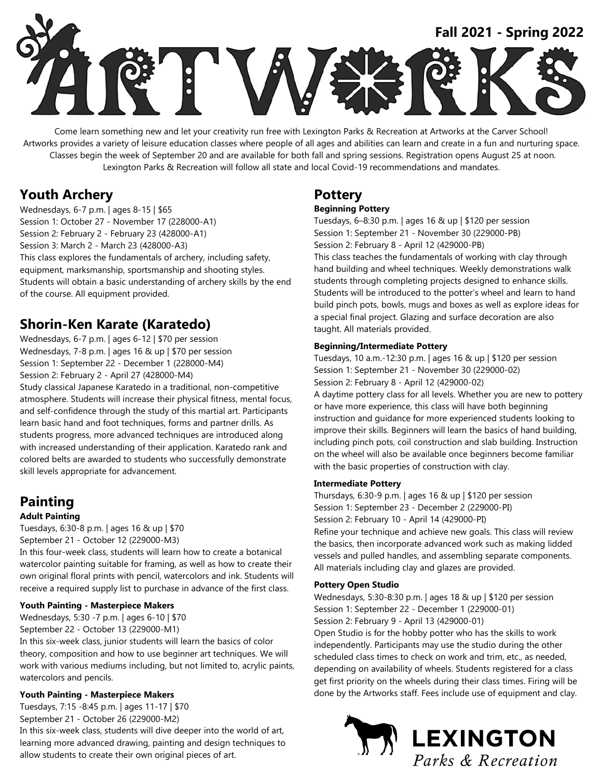

Come learn something new and let your creativity run free with Lexington Parks & Recreation at Artworks at the Carver School! Artworks provides a variety of leisure education classes where people of all ages and abilities can learn and create in a fun and nurturing space. Classes begin the week of September 20 and are available for both fall and spring sessions. Registration opens August 25 at noon. Lexington Parks & Recreation will follow all state and local Covid-19 recommendations and mandates.

### **Youth Archery**

Wednesdays, 6-7 p.m. | ages 8-15 | \$65 Session 1: October 27 - November 17 (228000-A1) Session 2: February 2 - February 23 (428000-A1) Session 3: March 2 - March 23 (428000-A3) This class explores the fundamentals of archery, including safety, equipment, marksmanship, sportsmanship and shooting styles. Students will obtain a basic understanding of archery skills by the end of the course. All equipment provided.

### **Shorin-Ken Karate (Karatedo)**

Wednesdays, 6-7 p.m. | ages 6-12 | \$70 per session Wednesdays, 7-8 p.m. | ages 16 & up | \$70 per session Session 1: September 22 - December 1 (228000-M4) Session 2: February 2 - April 27 (428000-M4)

Study classical Japanese Karatedo in a traditional, non-competitive atmosphere. Students will increase their physical fitness, mental focus, and self-confidence through the study of this martial art. Participants learn basic hand and foot techniques, forms and partner drills. As students progress, more advanced techniques are introduced along with increased understanding of their application. Karatedo rank and colored belts are awarded to students who successfully demonstrate skill levels appropriate for advancement.

# **Painting**

#### **Adult Painting**

Tuesdays, 6:30-8 p.m. | ages 16 & up | \$70 September 21 - October 12 (229000-M3)

In this four-week class, students will learn how to create a botanical watercolor painting suitable for framing, as well as how to create their own original floral prints with pencil, watercolors and ink. Students will receive a required supply list to purchase in advance of the first class.

#### **Youth Painting - Masterpiece Makers**

Wednesdays, 5:30 -7 p.m. | ages 6-10 | \$70

September 22 - October 13 (229000-M1)

In this six-week class, junior students will learn the basics of color theory, composition and how to use beginner art techniques. We will work with various mediums including, but not limited to, acrylic paints, watercolors and pencils.

### **Youth Painting - Masterpiece Makers**

Tuesdays, 7:15 -8:45 p.m. | ages 11-17 | \$70 September 21 - October 26 (229000-M2)

In this six-week class, students will dive deeper into the world of art, learning more advanced drawing, painting and design techniques to allow students to create their own original pieces of art.

## **Pottery**

#### **Beginning Pottery**

Tuesdays, 6–8:30 p.m. | ages 16 & up | \$120 per session Session 1: September 21 - November 30 (229000-PB) Session 2: February 8 - April 12 (429000-PB)

This class teaches the fundamentals of working with clay through hand building and wheel techniques. Weekly demonstrations walk students through completing projects designed to enhance skills. Students will be introduced to the potter's wheel and learn to hand build pinch pots, bowls, mugs and boxes as well as explore ideas for a special final project. Glazing and surface decoration are also taught. All materials provided.

#### **Beginning/Intermediate Pottery**

Tuesdays, 10 a.m.-12:30 p.m. | ages 16 & up | \$120 per session Session 1: September 21 - November 30 (229000-02) Session 2: February 8 - April 12 (429000-02)

A daytime pottery class for all levels. Whether you are new to pottery or have more experience, this class will have both beginning instruction and guidance for more experienced students looking to improve their skills. Beginners will learn the basics of hand building, including pinch pots, coil construction and slab building. Instruction on the wheel will also be available once beginners become familiar with the basic properties of construction with clay.

#### **Intermediate Pottery**

Thursdays, 6:30-9 p.m. | ages 16 & up | \$120 per session Session 1: September 23 - December 2 (229000-PI) Session 2: February 10 - April 14 (429000-PI) Refine your technique and achieve new goals. This class will review the basics, then incorporate advanced work such as making lidded vessels and pulled handles, and assembling separate components.

All materials including clay and glazes are provided.

#### **Pottery Open Studio**

Wednesdays, 5:30-8:30 p.m. | ages 18 & up | \$120 per session Session 1: September 22 - December 1 (229000-01) Session 2: February 9 - April 13 (429000-01)

Open Studio is for the hobby potter who has the skills to work independently. Participants may use the studio during the other scheduled class times to check on work and trim, etc., as needed, depending on availability of wheels. Students registered for a class get first priority on the wheels during their class times. Firing will be done by the Artworks staff. Fees include use of equipment and clay.